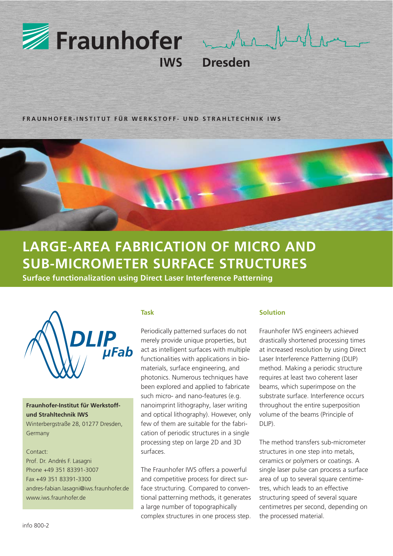

 $\lambda$  of  $\Lambda$  $\Lambda_{\Lambda}$ 

**Dresden** 

**FRAUNHOFER-INSTITUT FÜR WERKSTOFF- UND STRAHLTECHNIK IWS**

# **LARGE-AREA FABRICATION OF MICRO AND SUB-MICROMETER SURFACE STRUCTURES**

**Surface functionalization using Direct Laser Interference Patterning**



## **Fraunhofer-Institut für Werkstoffund Strahltechnik IWS**  Winterbergstraße 28, 01277 Dresden,

Germany

### Contact:

Prof. Dr. Andrés F. Lasagni Phone +49 351 83391-3007 Fax +49 351 83391-3300 andres-fabian.lasagni@iws.fraunhofer.de www.iws.fraunhofer.de

#### **Task**

Periodically patterned surfaces do not merely provide unique properties, but act as intelligent surfaces with multiple functionalities with applications in biomaterials, surface engineering, and photonics. Numerous techniques have been explored and applied to fabricate such micro- and nano-features (e.g. nanoimprint lithography, laser writing and optical lithography). However, only few of them are suitable for the fabrication of periodic structures in a single processing step on large 2D and 3D surfaces.

The Fraunhofer IWS offers a powerful and competitive process for direct surface structuring. Compared to conventional patterning methods, it generates a large number of topographically complex structures in one process step.

#### **Solution**

Fraunhofer IWS engineers achieved drastically shortened processing times at increased resolution by using Direct Laser Interference Patterning (DLIP) method. Making a periodic structure requires at least two coherent laser beams, which superimpose on the substrate surface. Interference occurs throughout the entire superposition volume of the beams (Principle of  $DI$   $IP$ ).

The method transfers sub-micrometer structures in one step into metals, ceramics or polymers or coatings. A single laser pulse can process a surface area of up to several square centimetres, which leads to an effective structuring speed of several square centimetres per second, depending on the processed material.